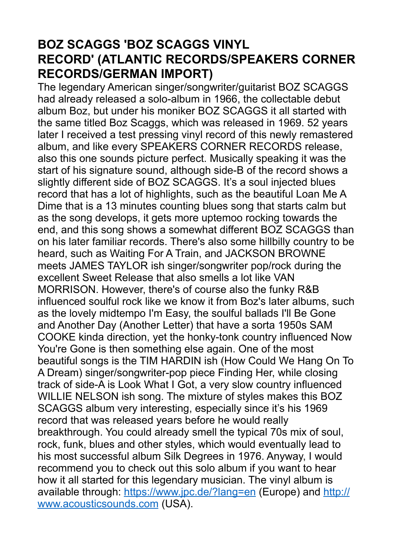## **BOZ SCAGGS 'BOZ SCAGGS VINYL RECORD' (ATLANTIC RECORDS/SPEAKERS CORNER RECORDS/GERMAN IMPORT)**

The legendary American singer/songwriter/guitarist BOZ SCAGGS had already released a solo-album in 1966, the collectable debut album Boz, but under his moniker BOZ SCAGGS it all started with the same titled Boz Scaggs, which was released in 1969. 52 years later I received a test pressing vinyl record of this newly remastered album, and like every SPEAKERS CORNER RECORDS release, also this one sounds picture perfect. Musically speaking it was the start of his signature sound, although side-B of the record shows a slightly different side of BOZ SCAGGS. It's a soul injected blues record that has a lot of highlights, such as the beautiful Loan Me A Dime that is a 13 minutes counting blues song that starts calm but as the song develops, it gets more uptemoo rocking towards the end, and this song shows a somewhat different BOZ SCAGGS than on his later familiar records. There's also some hillbilly country to be heard, such as Waiting For A Train, and JACKSON BROWNE meets JAMES TAYLOR ish singer/songwriter pop/rock during the excellent Sweet Release that also smells a lot like VAN MORRISON. However, there's of course also the funky R&B influenced soulful rock like we know it from Boz's later albums, such as the lovely midtempo I'm Easy, the soulful ballads I'll Be Gone and Another Day (Another Letter) that have a sorta 1950s SAM COOKE kinda direction, yet the honky-tonk country influenced Now You're Gone is then something else again. One of the most beautiful songs is the TIM HARDIN ish (How Could We Hang On To A Dream) singer/songwriter-pop piece Finding Her, while closing track of side-A is Look What I Got, a very slow country influenced WILLIE NELSON ish song. The mixture of styles makes this BOZ SCAGGS album very interesting, especially since it's his 1969 record that was released years before he would really breakthrough. You could already smell the typical 70s mix of soul, rock, funk, blues and other styles, which would eventually lead to his most successful album Silk Degrees in 1976. Anyway, I would recommend you to check out this solo album if you want to hear how it all started for this legendary musician. The vinyl album is available through:<https://www.jpc.de/?lang=en> (Europe) and [http://](http://www.acousticsounds.com/) [www.acousticsounds.com](http://www.acousticsounds.com/) (USA).